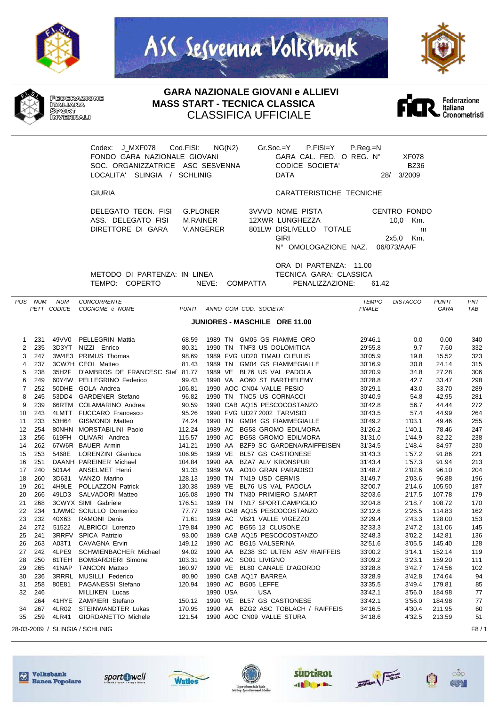







## **GARA NAZIONALE GIOVANI e ALLIEVI MASS START - TECNICA CLASSICA** CLASSIFICA UFFICIALE



Codex: J\_MXF078 Cod.FISI: NG(N2) Gr.Soc.=Y P.FISI=Y P.Reg.=N LOCALITA' SLINGIA / SCHLINIG

FONDO GARA NAZIONALE GIOVANI GARA CAL. FED. O REG. N° XF078 SOC. ORGANIZZATRICE ASC SESVENNA CODICE SOCIETA' BZ36

GIURIA CARATTERISTICHE TECNICHE

| DELEGATO TECN, FISI G.PLONER |           | 3VVVD NOME PISTA        | CENTRO FONDO |
|------------------------------|-----------|-------------------------|--------------|
| ASS. DELEGATO FISI           | M.RAINFR  | 12XWR LUNGHEZZA         | 10.0 Km.     |
| DIRETTORE DI GARA            | V.ANGFRFR | 801LW DISLIVELLO TOTALE | m            |
|                              |           | GIRI                    | 2x5.0 Km.    |
|                              |           | N° OMOLOGAZIONE NAZ.    | 06/073/AA/F  |

METODO DI PARTENZA: IN LINEA TECNICA GARA: CLASSICA

ORA DI PARTENZA: 11.00 TEMPO: COPERTO NEVE: COMPATTA PENALIZZAZIONE: 61.42

|                               | POS NUM | <b>NUM</b>  | CONCORRENTE                           |              |                                        | <b>TEMPO</b>  | <b>DISTACCO</b> | <b>PUNTI</b> | PNT        |
|-------------------------------|---------|-------------|---------------------------------------|--------------|----------------------------------------|---------------|-----------------|--------------|------------|
|                               |         | PETT CODICE | COGNOME e NOME                        | <b>PUNTI</b> | ANNO COM COD. SOCIETA'                 | <b>FINALE</b> |                 | GARA         | <b>TAB</b> |
| JUNIORES - MASCHILE ORE 11.00 |         |             |                                       |              |                                        |               |                 |              |            |
|                               |         |             |                                       |              |                                        |               |                 |              |            |
| 1                             | 231     |             | 49VV0 PELLEGRIN Mattia                | 68.59        | 1989 TN GM05 GS FIAMME ORO             | 29'46.1       | 0.0             | 0.00         | 340        |
| $\overline{2}$                | 235     | 3D3YT       | NIZZI Enrico                          | 80.31        | 1990 TN TNF3 US DOLOMITICA             | 29'55.8       | 9.7             | 7.60         | 332        |
| 3                             | 247     |             | 3W4E3 PRIMUS Thomas                   | 98.69        | 1989 FVG UD20 TIMAU CLEULIS            | 30'05.9       | 19.8            | 15.52        | 323        |
| 4                             | 237     |             | 3CW7H CEOL Matteo                     | 81.43        | 1989 TN<br><b>GM04 GS FIAMMEGIALLE</b> | 30'16.9       | 30.8            | 24.14        | 315        |
| 5                             | 238     |             | 35H2F D'AMBROS DE FRANCESC Stef 81.77 |              | 1989 VE BL76 US VAL PADOLA             | 30'20.9       | 34.8            | 27.28        | 306        |
| 6                             | 249     |             | 60Y4W PELLEGRINO Federico             | 99.43        | 1990 VA AO60 ST BARTHELEMY             | 30'28.8       | 42.7            | 33.47        | 298        |
| 7                             | 252     |             | 50DHE GOLA Andrea                     | 106.81       | 1990 AOC CN04 VALLE PESIO              | 30'29.1       | 43.0            | 33.70        | 289        |
| 8                             | 245     |             | 53DD4 GARDENER Stefano                | 96.82        | 1990 TN TNC5 US CORNACCI               | 30'40.9       | 54.8            | 42.95        | 281        |
| 9                             | 239     |             | 66RTM COLAMARINO Andrea               | 90.59        | 1990 CAB AQ15 PESCOCOSTANZO            | 30'42.8       | 56.7            | 44.44        | 272        |
| 10                            | 243     |             | 4LMTT FUCCARO Francesco               | 95.26        | 1990 FVG UD27 2002 TARVISIO            | 30'43.5       | 57.4            | 44.99        | 264        |
| 11                            | 233     | 53H64       | <b>GISMONDI Matteo</b>                | 74.24        | <b>GM04 GS FIAMMEGIALLE</b><br>1990 TN | 30'49.2       | 1'03.1          | 49.46        | 255        |
| 12                            | 254     | 80NHN       | MORSTABILINI Paolo                    | 112.24       | 1989 AC<br><b>BG58 GROMO EDILMORA</b>  | 31'26.2       | 1'40.1          | 78.46        | 247        |
| 13                            | 256     | 619FH       | OLIVARI Andrea                        | 115.57       | 1990 AC<br><b>BG58 GROMO EDILMORA</b>  | 31'31.0       | 1'44.9          | 82.22        | 238        |
| 14                            | 262     |             | 67W6R BAUER Armin                     | 141.21       | 1990 AA<br>BZF9 SC GARDENA/RAIFFEISEN  | 31'34.5       | 1'48.4          | 84.97        | 230        |
| 15                            | 253     | 5468E       | LORENZINI Gianluca                    | 106.95       | <b>BL57 GS CASTIONESE</b><br>1989 VE   | 31'43.3       | 1'57.2          | 91.86        | 221        |
| 16                            | 251     |             | DAANH PAREINER Michael                | 104.84       | BZA7 ALV KRONSPUR<br>1990 AA           | 31'43.4       | 1'57.3          | 91.94        | 213        |
| 17                            | 240     | 501A4       | <b>ANSELMET Henri</b>                 | 91.33        | AO10 GRAN PARADISO<br>1989 VA          | 31'48.7       | 2'02.6          | 96.10        | 204        |
| 18                            | 260     | 3D631       | VANZO Marino                          | 128.13       | TN19 USD CERMIS<br>1990 TN             | 31'49.7       | 2'03.6          | 96.88        | 196        |
| 19                            | 261     | 4H9LE       | POLLAZZON Patrick                     | 130.38       | BL76 US VAL PADOLA<br>1989 VE          | 32'00.7       | 2'14.6          | 105.50       | 187        |
| 20                            | 266     | 49LD3       | SALVADORI Matteo                      | 165.08       | 1990 TN<br>TN30 PRIMIERO S.MART        | 32'03.6       | 2'17.5          | 107.78       | 179        |
| 21                            | 268     |             | 3CWYX SIMI Gabriele                   | 176.51       | 1989 TN<br>TN17 SPORT.CAMPIGLIO        | 32'04.8       | 2'18.7          | 108.72       | 170        |
| 22                            | 234     |             | 1JWMC SCIULLO Domenico                | 77.77        | 1989 CAB AQ15 PESCOCOSTANZO            | 32'12.6       | 2'26.5          | 114.83       | 162        |
| 23                            | 232     | 40X63       | <b>RAMONI Denis</b>                   | 71.61        | 1989 AC VB21 VALLE VIGEZZO             | 32'29.4       | 2'43.3          | 128.00       | 153        |
| 24                            | 272     | 51522       | ALBRICCI Lorenzo                      | 179.84       | 1990 AC BG55 13 CLUSONE                | 32'33.3       | 2'47.2          | 131.06       | 145        |
| 25                            | 241     |             | 3RRFV SPICA Patrizio                  | 93.00        | 1989 CAB AQ15 PESCOCOSTANZO            | 32'48.3       | 3'02.2          | 142.81       | 136        |
| 26                            | 263     | A03T1       | CAVAGNA Ervin                         | 149.12       | 1990 AC<br><b>BG15 VALSERINA</b>       | 32'51.6       | 3'05.5          | 145.40       | 128        |
| 27                            | 242     | 4LPE9       | SCHWIENBACHER Michael                 | 94.02        | 1990 AA<br>BZ38 SC ULTEN ASV /RAIFFEIS | 33'00.2       | 3'14.1          | 152.14       | 119        |
| 28                            | 250     | 81TEH       | <b>BOMBARDIERI Simone</b>             | 103.31       | 1990 AC<br>SO01 LIVIGNO                | 33'09.2       | 3'23.1          | 159.20       | 111        |
| 29                            | 265     | 41NAP       | <b>TANCON Matteo</b>                  | 160.97       | 1990 VE BL80 CANALE D'AGORDO           | 33'28.8       | 3'42.7          | 174.56       | 102        |
| 30                            | 236     | 3RRRL       | MUSILLI Federico                      | 80.90        | 1990 CAB AQ17 BARREA                   | 33'28.9       | 3'42.8          | 174.64       | 94         |
| 31                            | 258     | 80E81       | PAGANESSI Stefano                     | 120.94       | 1990 AC BG05 LEFFE                     | 33'35.5       | 3'49.4          | 179.81       | 85         |
| 32                            | 246     |             | MILLIKEN Lucas                        |              | 1990 USA<br><b>USA</b>                 | 33'42.1       | 3'56.0          | 184.98       | 77         |
|                               | 264     | 41HYE       | ZAMPIERI Stefano                      | 150.12       | 1990 VE BL57 GS CASTIONESE             | 33'42.1       | 3'56.0          | 184.98       | 77         |
| 34                            | 267     | 4LR02       | STEINWANDTER Lukas                    | 170.95       | 1990 AA BZG2 ASC TOBLACH / RAIFFEIS    | 34'16.5       | 4'30.4          | 211.95       | 60         |
| 35                            | 259     | 4LR41       | GIORDANETTO Michele                   | 121.54       | 1990 AOC CN09 VALLE STURA              | 34'18.6       | 4'32.5          | 213.59       | 51         |
|                               |         |             | 28-03-2009 / SLINGIA / SCHLINIG       |              |                                        |               |                 |              | F8 / 1     |















 $\circ\circ$